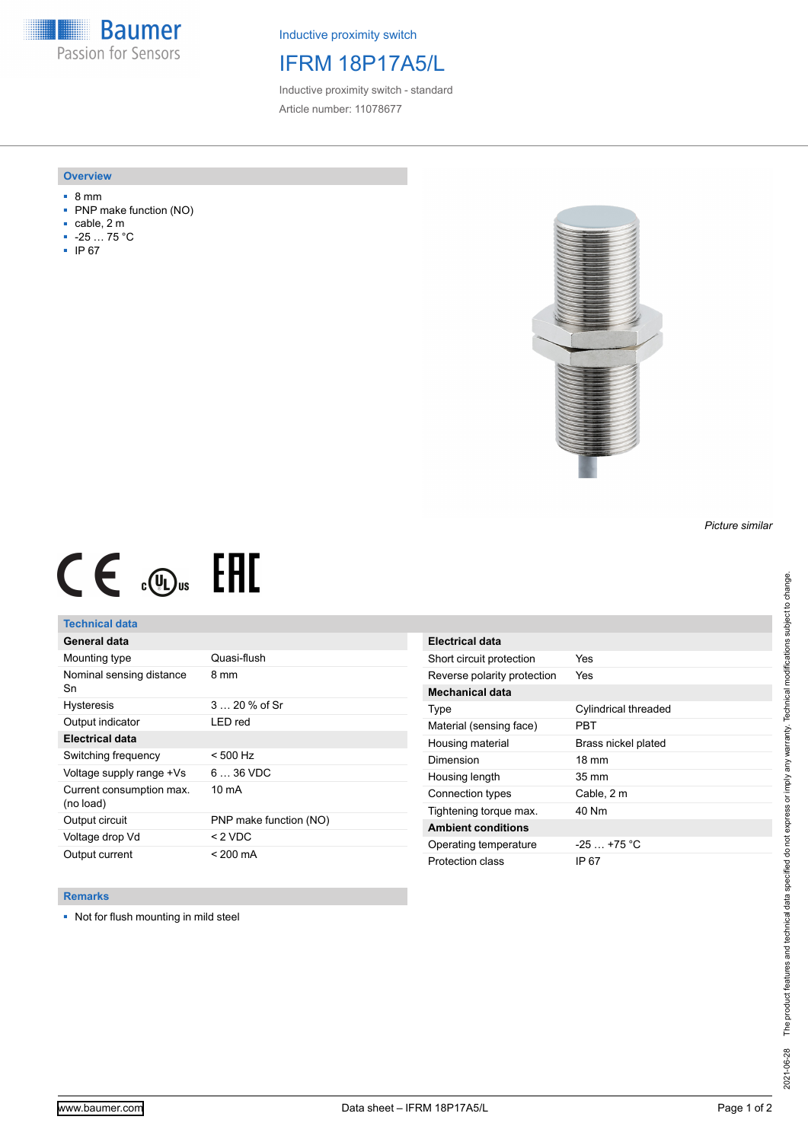**Baumer** Passion for Sensors

Inductive proximity switch

# IFRM 18P17A5/L

Inductive proximity switch - standard Article number: 11078677

#### **Overview**

- 8 mm
- PNP make function (NO)
- cable, 2 m
- -25 … 75 °C
- IP 67



# $CE \oplus E$

## **Technical data**

| General data                          |                        |
|---------------------------------------|------------------------|
| Mounting type                         | Quasi-flush            |
| Nominal sensing distance<br>Sn        | 8 mm                   |
| <b>Hysteresis</b>                     | $320%$ of Sr           |
| Output indicator                      | LED red                |
| Electrical data                       |                        |
| Switching frequency                   | $< 500$ Hz             |
| Voltage supply range +Vs              | $636$ VDC              |
| Current consumption max.<br>(no load) | $10 \text{ mA}$        |
| Output circuit                        | PNP make function (NO) |
| Voltage drop Vd                       | < 2 VDC                |
| Output current                        | < 200 mA               |

| Electrical data             |                      |
|-----------------------------|----------------------|
| Short circuit protection    | Yes                  |
| Reverse polarity protection | Yes                  |
| <b>Mechanical data</b>      |                      |
| Type                        | Cylindrical threaded |
| Material (sensing face)     | PRT                  |
| Housing material            | Brass nickel plated  |
| Dimension                   | $18 \text{ mm}$      |
| Housing length              | $35 \text{ mm}$      |
| Connection types            | Cable, 2 m           |
| Tightening torque max.      | 40 Nm                |
| <b>Ambient conditions</b>   |                      |
| Operating temperature       | $-25+75 °C$          |
| Protection class            | IP 67                |

### **Remarks**

■ Not for flush mounting in mild steel

*Picture similar*